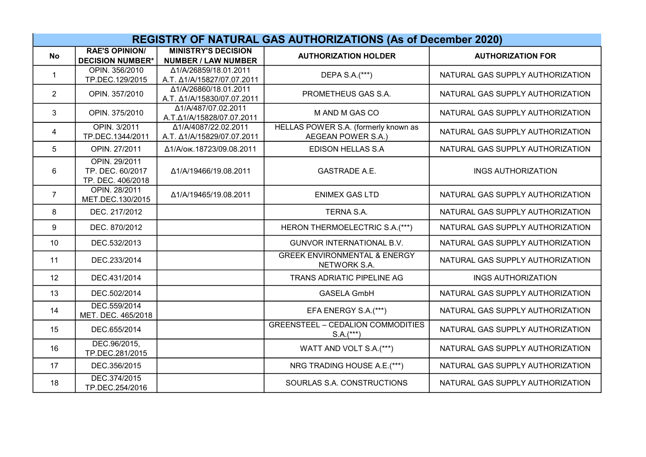| <b>REGISTRY OF NATURAL GAS AUTHORIZATIONS (As of December 2020)</b> |                                                        |                                                          |                                                            |                                  |
|---------------------------------------------------------------------|--------------------------------------------------------|----------------------------------------------------------|------------------------------------------------------------|----------------------------------|
| <b>No</b>                                                           | <b>RAE'S OPINION/</b><br><b>DECISION NUMBER*</b>       | <b>MINISTRY'S DECISION</b><br><b>NUMBER / LAW NUMBER</b> | <b>AUTHORIZATION HOLDER</b>                                | <b>AUTHORIZATION FOR</b>         |
| $\mathbf{1}$                                                        | OPIN. 356/2010<br>TP.DEC.129/2015                      | Δ1/A/26859/18.01.2011<br>A.T. Δ1/A/15827/07.07.2011      | DEPA S.A.(***)                                             | NATURAL GAS SUPPLY AUTHORIZATION |
| $\overline{2}$                                                      | OPIN. 357/2010                                         | Δ1/A/26860/18.01.2011<br>A.T. Δ1/A/15830/07.07.2011      | PROMETHEUS GAS S.A.                                        | NATURAL GAS SUPPLY AUTHORIZATION |
| 3                                                                   | OPIN. 375/2010                                         | Δ1/A/487/07.02.2011<br>A.T.Δ1/A/15828/07.07.2011         | M AND M GAS CO                                             | NATURAL GAS SUPPLY AUTHORIZATION |
| 4                                                                   | <b>OPIN. 3/2011</b><br>TP.DEC.1344/2011                | A1/A/4087/22.02.2011<br>A.T. Δ1/A/15829/07.07.2011       | HELLAS POWER S.A. (formerly known as<br>AEGEAN POWER S.A.) | NATURAL GAS SUPPLY AUTHORIZATION |
| 5                                                                   | OPIN. 27/2011                                          | Δ1/Α/οικ.18723/09.08.2011                                | <b>EDISON HELLAS S.A</b>                                   | NATURAL GAS SUPPLY AUTHORIZATION |
| 6                                                                   | OPIN. 29/2011<br>TP. DEC. 60/2017<br>TP. DEC. 406/2018 | Δ1/A/19466/19.08.2011                                    | <b>GASTRADE A.E.</b>                                       | <b>INGS AUTHORIZATION</b>        |
| $\overline{7}$                                                      | OPIN. 28/2011<br>MET.DEC.130/2015                      | Δ1/A/19465/19.08.2011                                    | <b>ENIMEX GAS LTD</b>                                      | NATURAL GAS SUPPLY AUTHORIZATION |
| 8                                                                   | DEC. 217/2012                                          |                                                          | TERNA S.A.                                                 | NATURAL GAS SUPPLY AUTHORIZATION |
| 9                                                                   | DEC. 870/2012                                          |                                                          | HERON THERMOELECTRIC S.A.(***)                             | NATURAL GAS SUPPLY AUTHORIZATION |
| 10                                                                  | DEC.532/2013                                           |                                                          | <b>GUNVOR INTERNATIONAL B.V.</b>                           | NATURAL GAS SUPPLY AUTHORIZATION |
| 11                                                                  | DEC.233/2014                                           |                                                          | <b>GREEK ENVIRONMENTAL &amp; ENERGY</b><br>NETWORK S.A.    | NATURAL GAS SUPPLY AUTHORIZATION |
| 12                                                                  | DEC.431/2014                                           |                                                          | TRANS ADRIATIC PIPELINE AG                                 | <b>INGS AUTHORIZATION</b>        |
| 13                                                                  | DEC.502/2014                                           |                                                          | <b>GASELA GmbH</b>                                         | NATURAL GAS SUPPLY AUTHORIZATION |
| 14                                                                  | DEC.559/2014<br>MET. DEC. 465/2018                     |                                                          | EFA ENERGY S.A.(***)                                       | NATURAL GAS SUPPLY AUTHORIZATION |
| 15                                                                  | DEC.655/2014                                           |                                                          | <b>GREENSTEEL - CEDALION COMMODITIES</b><br>$S.A.(***)$    | NATURAL GAS SUPPLY AUTHORIZATION |
| 16                                                                  | DEC.96/2015,<br>TP.DEC.281/2015                        |                                                          | WATT AND VOLT S.A.(***)                                    | NATURAL GAS SUPPLY AUTHORIZATION |
| 17                                                                  | DEC.356/2015                                           |                                                          | NRG TRADING HOUSE A.E.(***)                                | NATURAL GAS SUPPLY AUTHORIZATION |
| 18                                                                  | DEC.374/2015<br>TP.DEC.254/2016                        |                                                          | SOURLAS S.A. CONSTRUCTIONS                                 | NATURAL GAS SUPPLY AUTHORIZATION |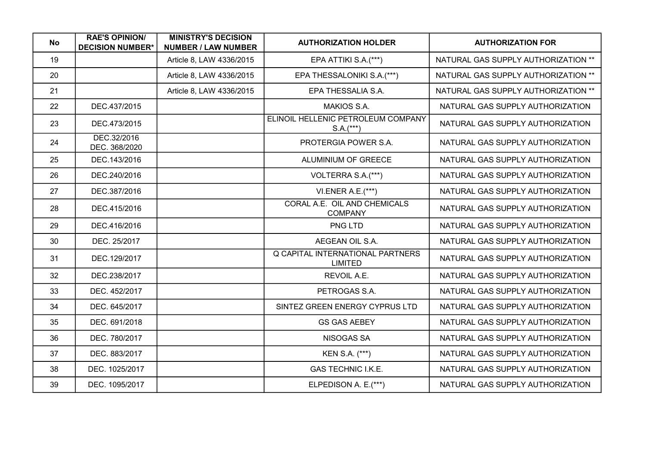| No. | <b>RAE'S OPINION/</b><br><b>DECISION NUMBER*</b> | <b>MINISTRY'S DECISION</b><br><b>NUMBER / LAW NUMBER</b> | <b>AUTHORIZATION HOLDER</b>                               | <b>AUTHORIZATION FOR</b>            |
|-----|--------------------------------------------------|----------------------------------------------------------|-----------------------------------------------------------|-------------------------------------|
| 19  |                                                  | Article 8, LAW 4336/2015                                 | EPA ATTIKI S.A.(***)                                      | NATURAL GAS SUPPLY AUTHORIZATION ** |
| 20  |                                                  | Article 8, LAW 4336/2015                                 | EPA THESSALONIKI S.A.(***)                                | NATURAL GAS SUPPLY AUTHORIZATION ** |
| 21  |                                                  | Article 8, LAW 4336/2015                                 | EPA THESSALIA S.A.                                        | NATURAL GAS SUPPLY AUTHORIZATION ** |
| 22  | DEC.437/2015                                     |                                                          | MAKIOS S.A.                                               | NATURAL GAS SUPPLY AUTHORIZATION    |
| 23  | DEC.473/2015                                     |                                                          | ELINOIL HELLENIC PETROLEUM COMPANY<br>$S.A.(***)$         | NATURAL GAS SUPPLY AUTHORIZATION    |
| 24  | DEC.32/2016<br>DEC. 368/2020                     |                                                          | PROTERGIA POWER S.A.                                      | NATURAL GAS SUPPLY AUTHORIZATION    |
| 25  | DEC.143/2016                                     |                                                          | ALUMINIUM OF GREECE                                       | NATURAL GAS SUPPLY AUTHORIZATION    |
| 26  | DEC.240/2016                                     |                                                          | VOLTERRA S.A.(***)                                        | NATURAL GAS SUPPLY AUTHORIZATION    |
| 27  | DEC.387/2016                                     |                                                          | VI.ENER A.E.(***)                                         | NATURAL GAS SUPPLY AUTHORIZATION    |
| 28  | DEC.415/2016                                     |                                                          | CORAL A.E. OIL AND CHEMICALS<br><b>COMPANY</b>            | NATURAL GAS SUPPLY AUTHORIZATION    |
| 29  | DEC.416/2016                                     |                                                          | PNG LTD                                                   | NATURAL GAS SUPPLY AUTHORIZATION    |
| 30  | DEC. 25/2017                                     |                                                          | AEGEAN OIL S.A.                                           | NATURAL GAS SUPPLY AUTHORIZATION    |
| 31  | DEC.129/2017                                     |                                                          | <b>Q CAPITAL INTERNATIONAL PARTNERS</b><br><b>LIMITED</b> | NATURAL GAS SUPPLY AUTHORIZATION    |
| 32  | DEC.238/2017                                     |                                                          | REVOIL A.E.                                               | NATURAL GAS SUPPLY AUTHORIZATION    |
| 33  | DEC. 452/2017                                    |                                                          | PETROGAS S.A.                                             | NATURAL GAS SUPPLY AUTHORIZATION    |
| 34  | DEC. 645/2017                                    |                                                          | SINTEZ GREEN ENERGY CYPRUS LTD                            | NATURAL GAS SUPPLY AUTHORIZATION    |
| 35  | DEC. 691/2018                                    |                                                          | <b>GS GAS AEBEY</b>                                       | NATURAL GAS SUPPLY AUTHORIZATION    |
| 36  | DEC. 780/2017                                    |                                                          | <b>NISOGAS SA</b>                                         | NATURAL GAS SUPPLY AUTHORIZATION    |
| 37  | DEC. 883/2017                                    |                                                          | KEN S.A. (***)                                            | NATURAL GAS SUPPLY AUTHORIZATION    |
| 38  | DEC. 1025/2017                                   |                                                          | <b>GAS TECHNIC I.K.E.</b>                                 | NATURAL GAS SUPPLY AUTHORIZATION    |
| 39  | DEC. 1095/2017                                   |                                                          | ELPEDISON A. E.(***)                                      | NATURAL GAS SUPPLY AUTHORIZATION    |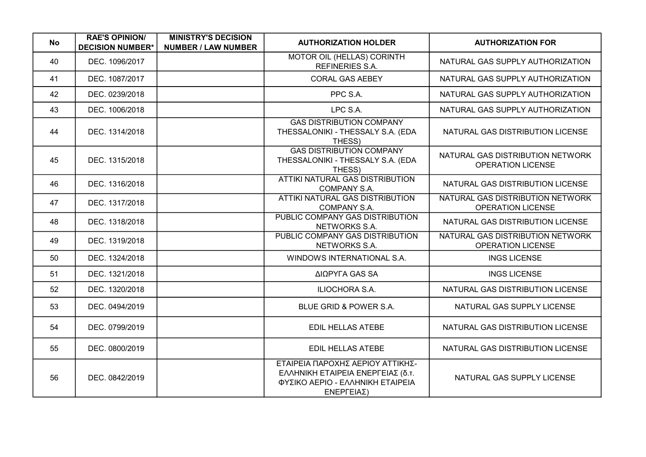| No | <b>RAE'S OPINION/</b><br><b>DECISION NUMBER*</b> | <b>MINISTRY'S DECISION</b><br><b>NUMBER / LAW NUMBER</b> | <b>AUTHORIZATION HOLDER</b>                                                                                             | <b>AUTHORIZATION FOR</b>                                     |
|----|--------------------------------------------------|----------------------------------------------------------|-------------------------------------------------------------------------------------------------------------------------|--------------------------------------------------------------|
| 40 | DEC. 1096/2017                                   |                                                          | <b>MOTOR OIL (HELLAS) CORINTH</b><br>REFINERIES S.A.                                                                    | NATURAL GAS SUPPLY AUTHORIZATION                             |
| 41 | DEC. 1087/2017                                   |                                                          | <b>CORAL GAS AEBEY</b>                                                                                                  | NATURAL GAS SUPPLY AUTHORIZATION                             |
| 42 | DEC. 0239/2018                                   |                                                          | PPC S.A.                                                                                                                | NATURAL GAS SUPPLY AUTHORIZATION                             |
| 43 | DEC. 1006/2018                                   |                                                          | LPC S.A.                                                                                                                | NATURAL GAS SUPPLY AUTHORIZATION                             |
| 44 | DEC. 1314/2018                                   |                                                          | <b>GAS DISTRIBUTION COMPANY</b><br>THESSALONIKI - THESSALY S.A. (EDA<br>THESS)                                          | NATURAL GAS DISTRIBUTION LICENSE                             |
| 45 | DEC. 1315/2018                                   |                                                          | <b>GAS DISTRIBUTION COMPANY</b><br>THESSALONIKI - THESSALY S.A. (EDA<br>THESS)                                          | NATURAL GAS DISTRIBUTION NETWORK<br><b>OPERATION LICENSE</b> |
| 46 | DEC. 1316/2018                                   |                                                          | ATTIKI NATURAL GAS DISTRIBUTION<br>COMPANY S.A.                                                                         | NATURAL GAS DISTRIBUTION LICENSE                             |
| 47 | DEC. 1317/2018                                   |                                                          | ATTIKI NATURAL GAS DISTRIBUTION<br><b>COMPANY S.A.</b>                                                                  | NATURAL GAS DISTRIBUTION NETWORK<br><b>OPERATION LICENSE</b> |
| 48 | DEC. 1318/2018                                   |                                                          | PUBLIC COMPANY GAS DISTRIBUTION<br>NETWORKS S.A.                                                                        | NATURAL GAS DISTRIBUTION LICENSE                             |
| 49 | DEC. 1319/2018                                   |                                                          | PUBLIC COMPANY GAS DISTRIBUTION<br>NETWORKS S.A.                                                                        | NATURAL GAS DISTRIBUTION NETWORK<br><b>OPERATION LICENSE</b> |
| 50 | DEC. 1324/2018                                   |                                                          | WINDOWS INTERNATIONAL S.A.                                                                                              | <b>INGS LICENSE</b>                                          |
| 51 | DEC. 1321/2018                                   |                                                          | ΔΙΩΡΥΓΑ GAS SA                                                                                                          | <b>INGS LICENSE</b>                                          |
| 52 | DEC. 1320/2018                                   |                                                          | ILIOCHORA S.A.                                                                                                          | NATURAL GAS DISTRIBUTION LICENSE                             |
| 53 | DEC. 0494/2019                                   |                                                          | BLUE GRID & POWER S.A.                                                                                                  | NATURAL GAS SUPPLY LICENSE                                   |
| 54 | DEC. 0799/2019                                   |                                                          | <b>EDIL HELLAS ATEBE</b>                                                                                                | NATURAL GAS DISTRIBUTION LICENSE                             |
| 55 | DEC. 0800/2019                                   |                                                          | <b>EDIL HELLAS ATEBE</b>                                                                                                | NATURAL GAS DISTRIBUTION LICENSE                             |
| 56 | DEC. 0842/2019                                   |                                                          | ΕΤΑΙΡΕΙΑ ΠΑΡΟΧΗΣ ΑΕΡΙΟΥ ΑΤΤΙΚΗΣ-<br>ΕΛΛΗΝΙΚΗ ΕΤΑΙΡΕΙΑ ΕΝΕΡΓΕΙΑΣ (δ.τ.<br>ΦΥΣΙΚΟ ΑΕΡΙΟ - ΕΛΛΗΝΙΚΗ ΕΤΑΙΡΕΙΑ<br>ΕΝΕΡΓΕΙΑΣ) | NATURAL GAS SUPPLY LICENSE                                   |